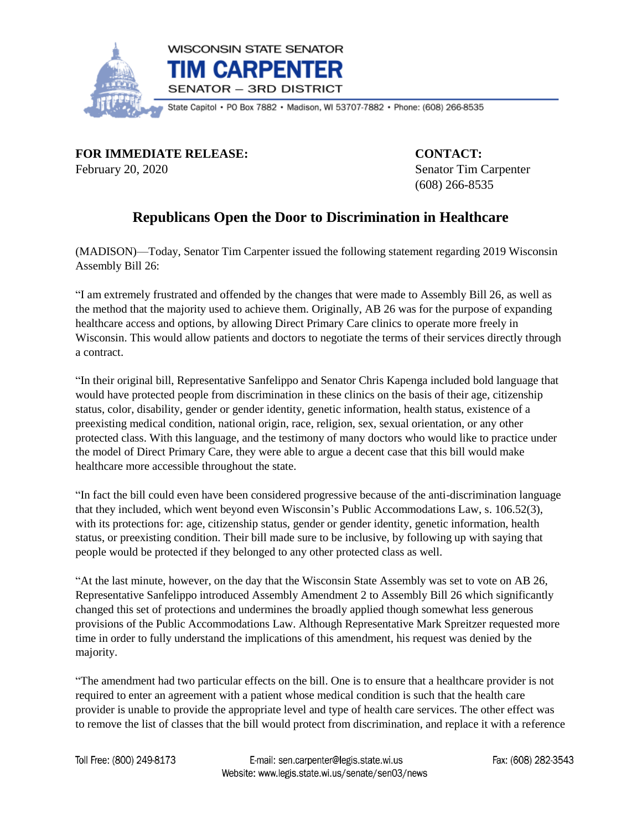

**FOR IMMEDIATE RELEASE: CONTACT:** February 20, 2020 Senator Tim Carpenter

(608) 266-8535

## **Republicans Open the Door to Discrimination in Healthcare**

(MADISON)—Today, Senator Tim Carpenter issued the following statement regarding 2019 Wisconsin Assembly Bill 26:

"I am extremely frustrated and offended by the changes that were made to Assembly Bill 26, as well as the method that the majority used to achieve them. Originally, AB 26 was for the purpose of expanding healthcare access and options, by allowing Direct Primary Care clinics to operate more freely in Wisconsin. This would allow patients and doctors to negotiate the terms of their services directly through a contract.

"In their original bill, Representative Sanfelippo and Senator Chris Kapenga included bold language that would have protected people from discrimination in these clinics on the basis of their age, citizenship status, color, disability, gender or gender identity, genetic information, health status, existence of a preexisting medical condition, national origin, race, religion, sex, sexual orientation, or any other protected class. With this language, and the testimony of many doctors who would like to practice under the model of Direct Primary Care, they were able to argue a decent case that this bill would make healthcare more accessible throughout the state.

"In fact the bill could even have been considered progressive because of the anti-discrimination language that they included, which went beyond even Wisconsin's Public Accommodations Law, s. 106.52(3), with its protections for: age, citizenship status, gender or gender identity, genetic information, health status, or preexisting condition. Their bill made sure to be inclusive, by following up with saying that people would be protected if they belonged to any other protected class as well.

"At the last minute, however, on the day that the Wisconsin State Assembly was set to vote on AB 26, Representative Sanfelippo introduced Assembly Amendment 2 to Assembly Bill 26 which significantly changed this set of protections and undermines the broadly applied though somewhat less generous provisions of the Public Accommodations Law. Although Representative Mark Spreitzer requested more time in order to fully understand the implications of this amendment, his request was denied by the majority.

"The amendment had two particular effects on the bill. One is to ensure that a healthcare provider is not required to enter an agreement with a patient whose medical condition is such that the health care provider is unable to provide the appropriate level and type of health care services. The other effect was to remove the list of classes that the bill would protect from discrimination, and replace it with a reference

Toll Free: (800) 249-8173